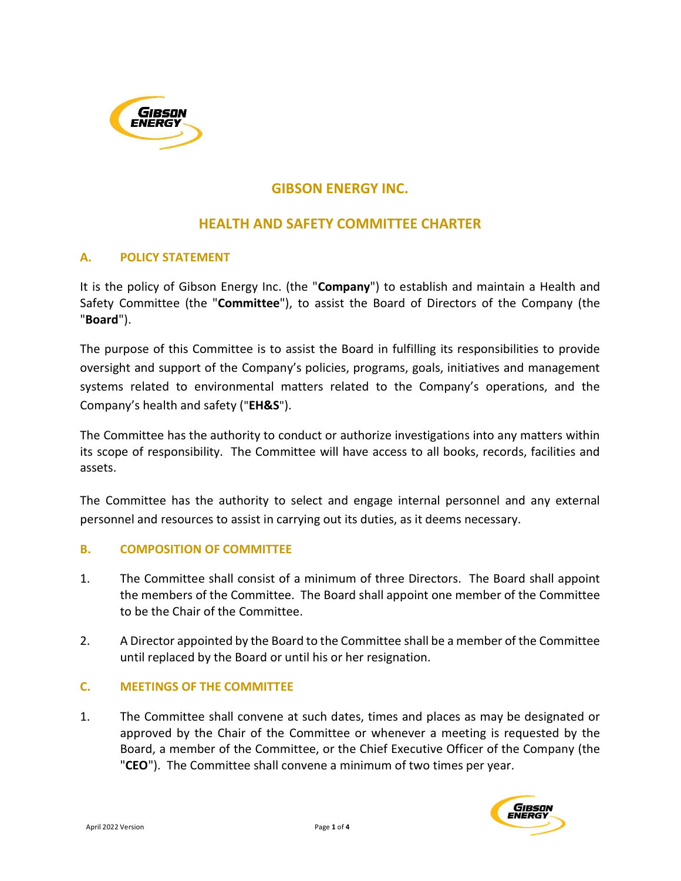

# GIBSON ENERGY INC.

## HEALTH AND SAFETY COMMITTEE CHARTER

#### A. POLICY STATEMENT

It is the policy of Gibson Energy Inc. (the "Company") to establish and maintain a Health and Safety Committee (the "Committee"), to assist the Board of Directors of the Company (the "Board").

The purpose of this Committee is to assist the Board in fulfilling its responsibilities to provide oversight and support of the Company's policies, programs, goals, initiatives and management systems related to environmental matters related to the Company's operations, and the Company's health and safety ("EH&S").

The Committee has the authority to conduct or authorize investigations into any matters within its scope of responsibility. The Committee will have access to all books, records, facilities and assets.

The Committee has the authority to select and engage internal personnel and any external personnel and resources to assist in carrying out its duties, as it deems necessary.

#### B. COMPOSITION OF COMMITTEE

- 1. The Committee shall consist of a minimum of three Directors. The Board shall appoint the members of the Committee. The Board shall appoint one member of the Committee to be the Chair of the Committee.
- 2. A Director appointed by the Board to the Committee shall be a member of the Committee until replaced by the Board or until his or her resignation.

#### C. MEETINGS OF THE COMMITTEE

1. The Committee shall convene at such dates, times and places as may be designated or approved by the Chair of the Committee or whenever a meeting is requested by the Board, a member of the Committee, or the Chief Executive Officer of the Company (the "CEO"). The Committee shall convene a minimum of two times per year.

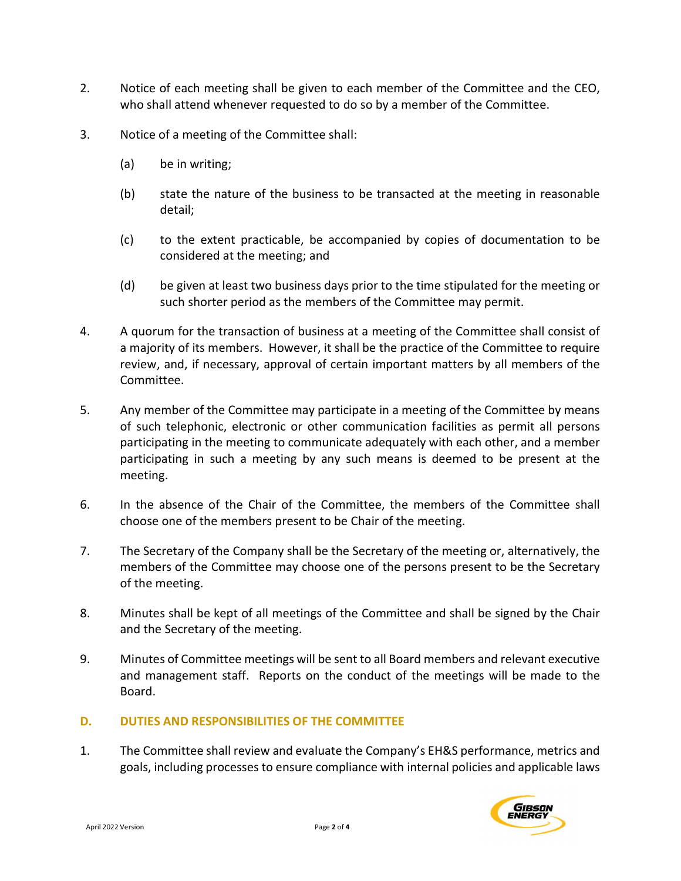- 2. Notice of each meeting shall be given to each member of the Committee and the CEO, who shall attend whenever requested to do so by a member of the Committee.
- 3. Notice of a meeting of the Committee shall:
	- (a) be in writing;
	- (b) state the nature of the business to be transacted at the meeting in reasonable detail;
	- (c) to the extent practicable, be accompanied by copies of documentation to be considered at the meeting; and
	- (d) be given at least two business days prior to the time stipulated for the meeting or such shorter period as the members of the Committee may permit.
- 4. A quorum for the transaction of business at a meeting of the Committee shall consist of a majority of its members. However, it shall be the practice of the Committee to require review, and, if necessary, approval of certain important matters by all members of the Committee.
- 5. Any member of the Committee may participate in a meeting of the Committee by means of such telephonic, electronic or other communication facilities as permit all persons participating in the meeting to communicate adequately with each other, and a member participating in such a meeting by any such means is deemed to be present at the meeting.
- 6. In the absence of the Chair of the Committee, the members of the Committee shall choose one of the members present to be Chair of the meeting.
- 7. The Secretary of the Company shall be the Secretary of the meeting or, alternatively, the members of the Committee may choose one of the persons present to be the Secretary of the meeting.
- 8. Minutes shall be kept of all meetings of the Committee and shall be signed by the Chair and the Secretary of the meeting.
- 9. Minutes of Committee meetings will be sent to all Board members and relevant executive and management staff. Reports on the conduct of the meetings will be made to the Board.

#### D. DUTIES AND RESPONSIBILITIES OF THE COMMITTEE

1. The Committee shall review and evaluate the Company's EH&S performance, metrics and goals, including processes to ensure compliance with internal policies and applicable laws

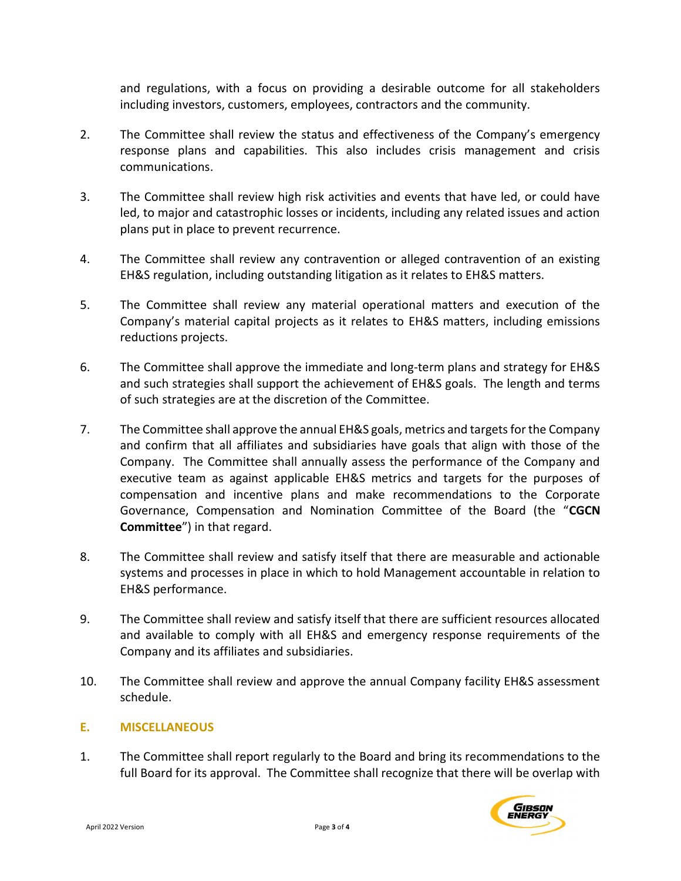and regulations, with a focus on providing a desirable outcome for all stakeholders including investors, customers, employees, contractors and the community.

- 2. The Committee shall review the status and effectiveness of the Company's emergency response plans and capabilities. This also includes crisis management and crisis communications.
- 3. The Committee shall review high risk activities and events that have led, or could have led, to major and catastrophic losses or incidents, including any related issues and action plans put in place to prevent recurrence.
- 4. The Committee shall review any contravention or alleged contravention of an existing EH&S regulation, including outstanding litigation as it relates to EH&S matters.
- 5. The Committee shall review any material operational matters and execution of the Company's material capital projects as it relates to EH&S matters, including emissions reductions projects.
- 6. The Committee shall approve the immediate and long-term plans and strategy for EH&S and such strategies shall support the achievement of EH&S goals. The length and terms of such strategies are at the discretion of the Committee.
- 7. The Committee shall approve the annual EH&S goals, metrics and targets for the Company and confirm that all affiliates and subsidiaries have goals that align with those of the Company. The Committee shall annually assess the performance of the Company and executive team as against applicable EH&S metrics and targets for the purposes of compensation and incentive plans and make recommendations to the Corporate Governance, Compensation and Nomination Committee of the Board (the "CGCN Committee") in that regard.
- 8. The Committee shall review and satisfy itself that there are measurable and actionable systems and processes in place in which to hold Management accountable in relation to EH&S performance.
- 9. The Committee shall review and satisfy itself that there are sufficient resources allocated and available to comply with all EH&S and emergency response requirements of the Company and its affiliates and subsidiaries.
- 10. The Committee shall review and approve the annual Company facility EH&S assessment schedule.

### E. MISCELLANEOUS

1. The Committee shall report regularly to the Board and bring its recommendations to the full Board for its approval. The Committee shall recognize that there will be overlap with